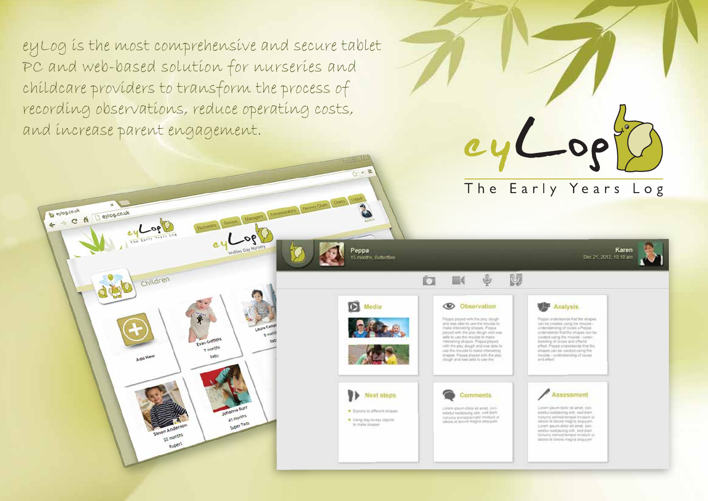ey Log is the most comprehensive and secure tablet PC and web-based solution for nurseries and childcare providers to transform the process of recording observations, reduce operating costs, and increase parent engagement.

← → C A Deylog.co.uk

 $90-$ 

Children

Add New

Simon Anderson

22 months

Rupert

Groups (Managers Administrator) Heroely Chain County Lugar

Peppa

Media

Next steps

· Experiment shipes

Using day-to-day objects

**15 months** Futberlies

 $90-$ 

**Syan Griffiths** 

7 excentivs

 $0.95$ 

ohanna Bur

A1 months

Super Teds

**C** Observation Peppa played with the play dough and was able to use the roocide to make interesting shopes. Peppa slayed with the play slough and wonable to use the moulds to make interesting shapes. Peppa played: with the play dough and was shields. use the moulds to make interesting shapes. Peppa played with the play

**III** 

closedy and some while to use the

**Comments** 

Linem insure driver all areal, con-

tetelur sadescesi ells, and dam

holsunly entrod tempol invities of

ſП.



國

The Early Years Log

Karen

Dec 21, 2012, 10:10 am

Peppo understands that the shapes can be created using the mouths understanding of coses a Peppa<br>understands that the shapes can be created using the movids - understanding inf cousin and effectd shapes can be treated using the moulds - understanding of couse

**Assessment** 

Locari species delibe all amed, conpatellar alattesidens anter said diare. nonume asshed tempor invigant ut. latione at choose insigna aliquyam. Locare that the vehicle art send, booksetetur sadoscing alst, sed darr young elimind tempor invision ut. labore at throne magna aliquyam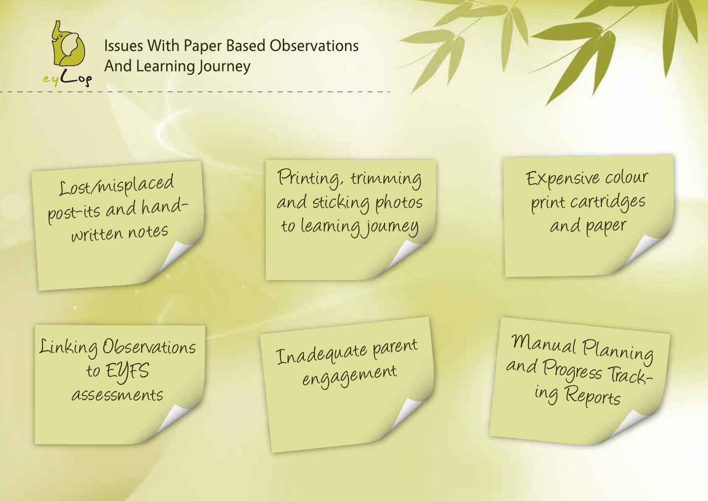

Issues With Paper Based Observations And Learning Journey

Lost/misplaced post-its and hand written notes

Printing, trimming and sticking photos to learning journey

Expensive colour print cartridges and paper

Linking Observations to EYFS assessments

Inadequate parent

rdequate parent Manual Planning<br>engagement and Progress Tracking Reports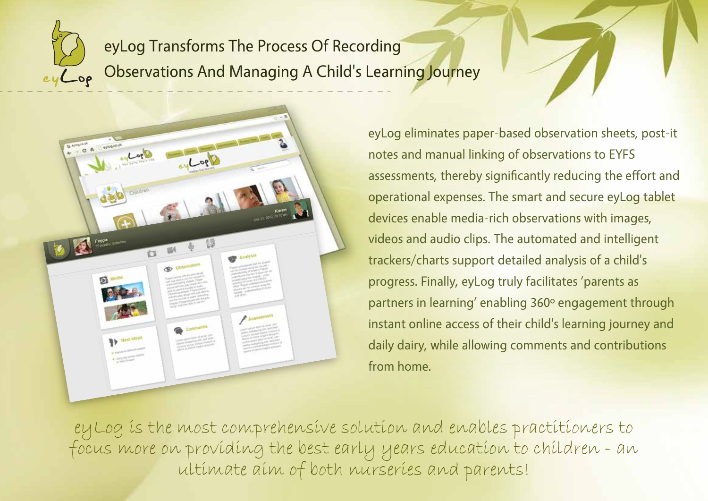eyLog Transforms The Process Of Recording Observations And Managing A Child's Learning Journey



eyLog eliminates paper-based observation sheets, post-it notes and manual linking of observations to EYFS assessments, thereby significantly reducing the effort and operational expenses. The smart and secure eyLog tablet devices enable media-rich observations with images, videos and audio clips. The automated and intelligent trackers/charts support detailed analysis of a child's progress. Finally, eyLog truly facilitates 'parents as partners in learning' enabling 360º engagement through instant online access of their child's learning journey and daily dairy, while allowing comments and contributions from home.

eyLog is the most comprehensive solution and enables practitioners to focus more on providing the best early years education to children - an ultimate aim of both nurseries and parents!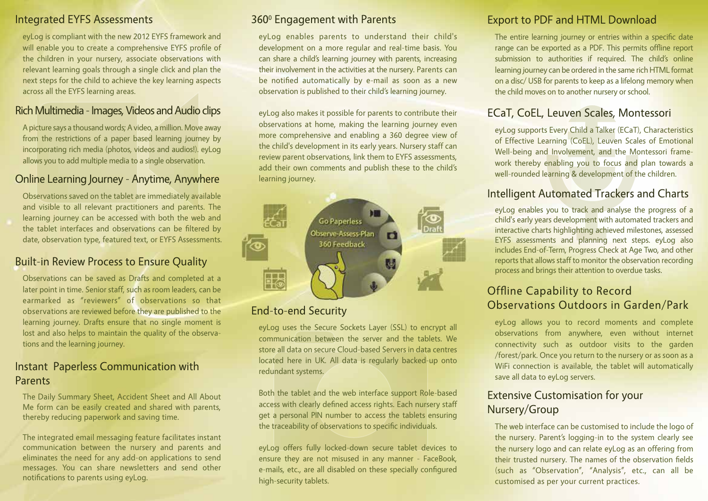#### Integrated EYFS Assessments

eyLog is compliant with the new 2012 EYFS framework and will enable you to create a comprehensive EYFS profile of the children in your nursery, associate observations with relevant learning goals through a single click and plan the next steps for the child to achieve the key learning aspects across all the EYFS learning areas.

#### Rich Multimedia - Images, Videos and Audio clips

A picture says a thousand words; A video, a million. Move away from the restrictions of a paper based learning journey by incorporating rich media (photos, videos and audios!). eyLog allows you to add multiple media to a single observation.

#### Online Learning Journey - Anytime, Anywhere

Observations saved on the tablet are immediately available and visible to all relevant practitioners and parents. The learning journey can be accessed with both the web and the tablet interfaces and observations can be filtered by date, observation type, featured text, or EYFS Assessments.

#### Built-in Review Process to Ensure Quality

Observations can be saved as Drafts and completed at a later point in time. Senior staff, such as room leaders, can be earmarked as "reviewers" of observations so that observations are reviewed before they are published to the learning journey. Drafts ensure that no single moment is lost and also helps to maintain the quality of the observations and the learning journey.

#### Instant Paperless Communication with Parents

The Daily Summary Sheet, Accident Sheet and All About Me form can be easily created and shared with parents, thereby reducing paperwork and saving time.

The integrated email messaging feature facilitates instant communication between the nursery and parents and eliminates the need for any add-on applications to send messages. You can share newsletters and send other notifications to parents using eyLog.

#### 360<sup>°</sup> Engagement with Parents

eyLog enables parents to understand their child's development on a more regular and real-time basis. You can share a child's learning journey with parents, increasing their involvement in the activities at the nursery. Parents can be notified automatically by e-mail as soon as a new observation is published to their child's learning journey.

eyLog also makes it possible for parents to contribute their observations at home, making the learning journey even more comprehensive and enabling a 360 degree view of the child's development in its early years. Nursery staff can review parent observations, link them to EYFS assessments, add their own comments and publish these to the child's learning journey.



## End-to-end Security

eyLog uses the Secure Sockets Layer (SSL) to encrypt all communication between the server and the tablets. We store all data on secure Cloud-based Servers in data centres located here in UK. All data is regularly backed-up onto redundant systems.

Both the tablet and the web interface support Role-based access with clearly defined access rights. Each nursery staff get a personal PIN number to access the tablets ensuring the traceability of observations to specific individuals.

eyLog offers fully locked-down secure tablet devices to ensure they are not misused in any manner - FaceBook, e-mails, etc., are all disabled on these specially configured high-security tablets.

## Export to PDF and HTML Download

The entire learning journey or entries within a specific date range can be exported as a PDF. This permits offline report submission to authorities if required. The child's online learning journey can be ordered in the same rich HTML format on a disc/ USB for parents to keep as a lifelong memory when the child moves on to another nursery or school.

## ECaT, CoEL, Leuven Scales, Montessori

eyLog supports Every Child a Talker (ECaT), Characteristics of Effective Learning (CoEL), Leuven Scales of Emotional Well-being and Involvement, and the Montessori framework thereby enabling you to focus and plan towards a well-rounded learning & development of the children.

### Intelligent Automated Trackers and Charts

eyLog enables you to track and analyse the progress of a child's early years development with automated trackers and interactive charts highlighting achieved milestones, assessed EYFS assessments and planning next steps. eyLog also includes End-of-Term, Progress Check at Age Two, and other reports that allows staff to monitor the observation recording process and brings their attention to overdue tasks.

### Offline Capability to Record Observations Outdoors in Garden/Park

eyLog allows you to record moments and complete observations from anywhere, even without internet connectivity such as outdoor visits to the garden /forest/park. Once you return to the nursery or as soon as a WiFi connection is available, the tablet will automatically save all data to eyLog servers.

#### Extensive Customisation for your Nursery/Group

The web interface can be customised to include the logo of the nursery. Parent's logging-in to the system clearly see the nursery logo and can relate eyLog as an offering from their trusted nursery. The names of the observation fields (such as "Observation", "Analysis", etc., can all be customised as per your current practices.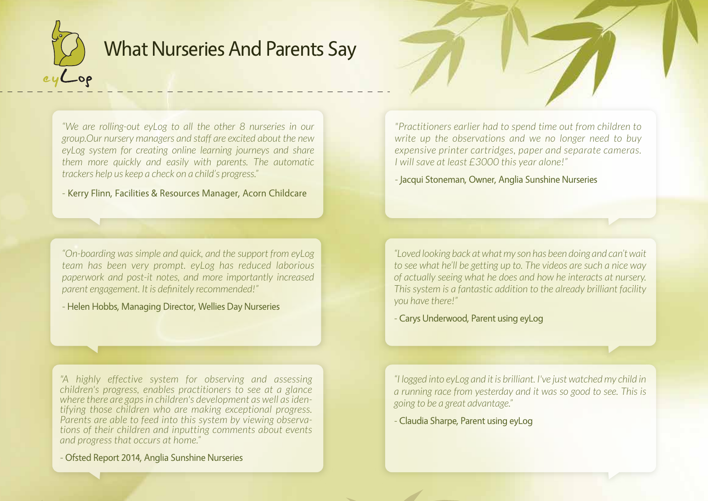

# What Nurseries And Parents Say

*"We are rolling-out eyLog to all the other 8 nurseries in our group.Our nursery managers and staff are excited about the new eyLog system for creating online learning journeys and share them more quickly and easily with parents. The automatic trackers help us keep a check on a child's progress."*

- Kerry Flinn, Facilities & Resources Manager, Acorn Childcare

*"On-boarding was simple and quick, and the support from eyLog team has been very prompt. eyLog has reduced laborious paperwork and post-it notes, and more importantly increased parent engagement. It is definitely recommended!"*

- Helen Hobbs, Managing Director, Wellies Day Nurseries

*"A highly effective system for observing and assessing children's progress, enables practitioners to see at a glance where there are gaps in children's development as well as identifying those children who are making exceptional progress. Parents are able to feed into this system by viewing observations of their children and inputting comments about events and progress that occurs at home."*

- Ofsted Report 2014, Anglia Sunshine Nurseries

*"Practitioners earlier had to spend time out from children to write up the observations and we no longer need to buy expensive printer cartridges, paper and separate cameras. I will save at least £3000 this year alone!"*

- Jacqui Stoneman, Owner, Anglia Sunshine Nurseries

*"Loved looking back at what my son has been doing and can't wait to see what he'll be getting up to. The videos are such a nice way of actually seeing what he does and how he interacts at nursery. This system is a fantastic addition to the already brilliant facility you have there!"*

- Carys Underwood, Parent using eyLog

*"I logged into eyLog and it is brilliant. I've just watched my child in a running race from yesterday and it was so good to see. This is going to be a great advantage."*

- Claudia Sharpe, Parent using eyLog